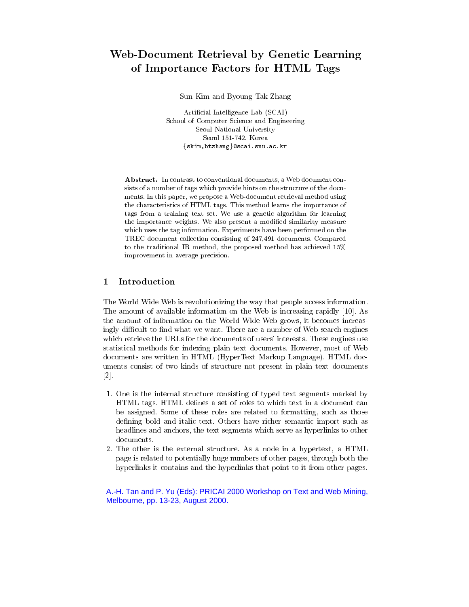# Web-Document Retrieval by Genetic Learning of Importance Factors for HTML Tags for HTML Tags and HTML Tags and HTML Tags and HTML Tags and HTML Tags and HTML Tags and HTML Tags and HTML Tags and HTML Tags and HTML Tags and HTML Tags and HTML Tags and HTML Tags and

Sun Kim and Byoung-Tak Zhang

Articial Intelligence Lab (SCAI) School of Computer Science and Engineering Seoul National University Seoul 151-742, Korea  $\{skim,btzhang\}$ @scai.snu.ac.kr

Abstract. In contrast to conventional documents, a Web document consists of a number of tags which provide hints on the structure of the docu ments. In this paper, we propose a Web-document retrieval method using the characteristics of HTML tags. This method learns the importance of tags from a training text set. We use a genetic algorithm for learning the importance weights. We also present a modied similarity measure which uses the tag information. Experiments have been performed on the TREC document collection consisting of 247,491 documents. Compared to the traditional IR method, the proposed method has achieved 15% improvement in average precision.

### $\mathbf{1}$ Introduction

The World Wide Web is revolutionizing the way that people access information. The amount of available information on the Web is increasing rapidly [10]. As the amount of information on the World Wide Web grows, it becomes increasingly difficult to find what we want. There are a number of Web search engines which retrieve the URLs for the documents of users' interests. These engines use statistical methods for indexing plain text documents. However, most of Web documents are written in HTML (HyperText Markup Language). HTML documents consist of two kinds of structure not present in plain text documents [2].

- 1. One is the internal structure consisting of typed text segments marked by HTML tags. HTML denes a set of roles to which text in a document can be assigned. Some of these roles are related to formatting, such as those defining bold and italic text. Others have richer semantic import such as headlines and anchors, the text segments which serve as hyperlinks to other documents.
- 2. The other is the external structure. As a node in a hypertext, a HTML page is related to potentially huge numbers of other pages, through both the hyperlinks it contains and the hyperlinks that point to it from other pages.

## A.-H. Tan and P. Yu (Eds): PRICAI 2000 Workshop on Text and Web Mining, Melbourne, pp. 13-23, August 2000.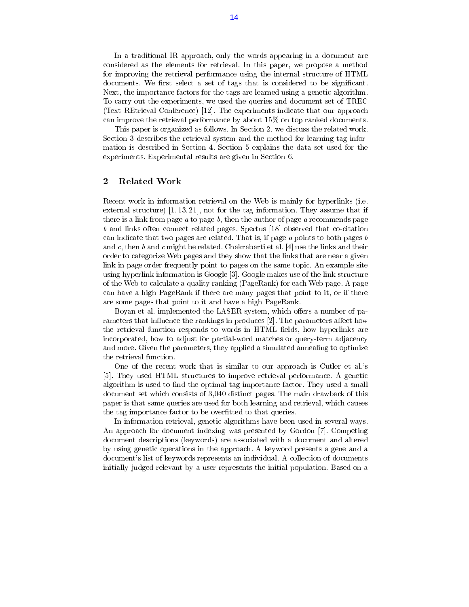In a traditional IR approach, only the words appearing in a document are considered as the elements for retrieval. In this paper, we propose a method for improving the retrieval performance using the internal structure of HTML documents. We first select a set of tags that is considered to be significant. Next, the importance factors for the tags are learned using a genetic algorithm. To carry out the experiments, we used the queries and document set of TREC (Text REtrieval Conference) [12]. The experiments indicate that our approach can improve the retrieval performance by about 15% on top ranked documents.

This paper is organized as follows. In Section 2, we discuss the related work. Section 3 describes the retrieval system and the method for learning tag information is described in Section 4. Section 5 explains the data set used for the experiments. Experimental results are given in Section 6.

#### $\mathbf{2}$ Related Work

Recent work in information retrieval on the Web is mainly for hyperlinks (i.e. external structure) [1, 13, 21], not for the tag information. They assume that if there is a link from page  $a$  to page  $b$ , then the author of page  $a$  recommends page <sup>b</sup> and links often connect related pages. Spertus [18] observed that co-citation can indicate that two pages are related. That is, if page  $a$  points to both pages  $b$ and c, then b and c might be related. Chakrabarti et al. [4] use the links and their order to categorize Web pages and they show that the links that are near a given link in page order frequently point to pages on the same topic. An example site using hyperlink information is Google [3]. Google makes use of the link structure of the Web to calculate a quality ranking (PageRank) for each Web page. A page can have a high PageRank if there are many pages that point to it, or if there are some pages that point to it and have a high PageRank.

Boyan et al. implemented the LASER system, which offers a number of parameters that influence the rankings in produces [2]. The parameters affect how the retrieval function responds to words in HTML fields, how hyperlinks are incorporated, how to adjust for partial-word matches or query-term adjacency and more. Given the parameters, they applied a simulated annealing to optimize the retrieval function.

One of the recent work that is similar to our approach is Cutler et al.'s [5]. They used HTML structures to improve retrieval performance. A genetic algorithm is used to find the optimal tag importance factor. They used a small document set which consists of 3,040 distinct pages. The main drawback of this paper is that same queries are used for both learning and retrieval, which causes the tag importance factor to be overfitted to that queries.

In information retrieval, genetic algorithms have been used in several ways. An approach for document indexing was presented by Gordon [7]. Competing document descriptions (keywords) are associated with a document and altered by using genetic operations in the approach. A keyword presents a gene and a document's list of keywords represents an individual. A collection of documents initially judged relevant by a user represents the initial population. Based on a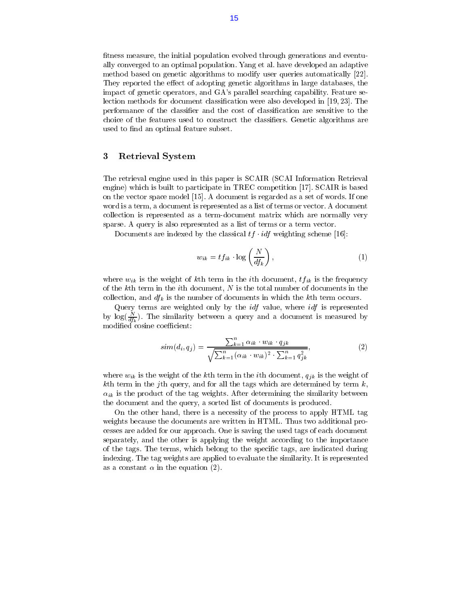fitness measure, the initial population evolved through generations and eventually converged to an optimal population. Yang et al. have developed an adaptive method based on genetic algorithms to modify user queries automatically [22]. They reported the effect of adopting genetic algorithms in large databases, the impact of genetic operators, and GA's parallel searching capability. Feature selection methods for document classication were also developed in [19, 23]. The performance of the classifier and the cost of classification are sensitive to the choice of the features used to construct the classiers. Genetic algorithms are used to find an optimal feature subset.

### 3 Retrieval System

The retrieval engine used in this paper is SCAIR (SCAI Information Retrieval engine) which is built to participate in TREC competition [17]. SCAIR is based on the vector space model [15]. A document is regarded as a set of words. If one word is a term, a document is represented as a list of terms or vector. A document collection is represented as a term-document matrix which are normally very sparse. A query is also represented as a list of terms or a term vector.

Documents are indexed by the classical  $tf \cdot idf$  weighting scheme [16]:

$$
w_{ik} = tf_{ik} \cdot \log\left(\frac{N}{df_k}\right),\tag{1}
$$

where  $w_{ik}$  is the weight of kth term in the *i*th document,  $tf_{ik}$  is the frequency of the kth term in the ith document,  $N$  is the total number of documents in the collection, and  $df_k$  is the number of documents in which the kth term occurs.

Query terms are weighted only by the *idf* value, where *idf* is represented by log( $\overline{df_k}$ ). The similarity between a query and a document is measured by modified cosine coefficient:

$$
sim(d_i, q_j) = \frac{\sum_{k=1}^{n} \alpha_{ik} \cdot w_{ik} \cdot q_{jk}}{\sqrt{\sum_{k=1}^{n} (\alpha_{ik} \cdot w_{ik})^2 \cdot \sum_{k=1}^{n} q_{jk}^2}},
$$
\n(2)

where  $w_{ik}$  is the weight of the kth term in the *i*th document,  $q_{jk}$  is the weight of kth term in the jth query, and for all the tags which are determined by term  $k$ ,  $\alpha_{ik}$  is the product of the tag weights. After determining the similarity between the document and the query, a sorted list of documents is produced.

On the other hand, there is a necessity of the process to apply HTML tag weights because the documents are written in HTML. Thus two additional processes are added for our approach. One is saving the used tags of each document separately, and the other is applying the weight according to the importance of the tags. The terms, which belong to the specic tags, are indicated during indexing. The tag weights are applied to evaluate the similarity. It is represented as a constant  $\alpha$  in the equation (2).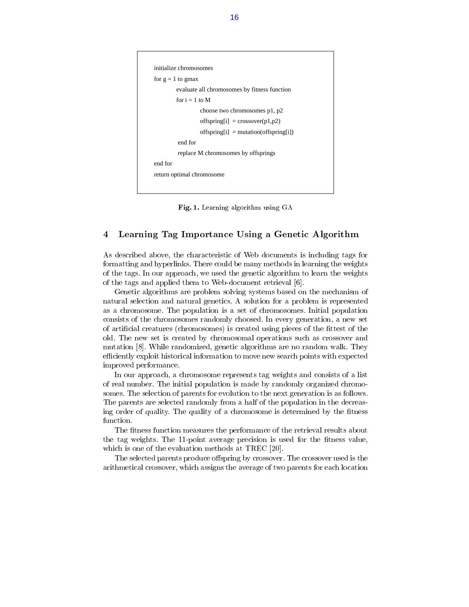```
 evaluate all chromosomes by fitness function
return optimal chromosome
end for
          replace M chromosomes by offsprings
          end for
                 offspring[i] = mutation(offspring[i])offspring[i] = crossover(p1,p2)for i = 1 to M
for g = 1 to gmax
initialize chromosomes
                  choose two chromosomes p1, p2
```
Fig. 1. Learning algorithm using GA

#### $\overline{4}$ 4 Learning Tag Importance Using a Genetic Algorithm

As described above, the characteristic of Web documents is including tags for formatting and hyperlinks. There could be many methods in learning the weights of the tags. In our approach, we used the genetic algorithm to learn the weights of the tags and applied them to Web-document retrieval [6].

Genetic algorithms are problem solving systems based on the mechanism of natural selection and natural genetics. A solution for a problem is represented as a chromosome. The population is a set of chromosomes. Initial population consists of the chromosomes randomly choosed. In every generation, a new set of artificial creatures (chromosomes) is created using pieces of the fittest of the old. The new set is created by chromosomal operations such as crossover and mutation [8]. While randomized, genetic algorithms are no random walk. They efficiently exploit historical information to move new search points with expected improved performance.

In our approach, a chromosome represents tag weights and consists of a list of real number. The initial population is made by randomly organized chromosomes. The selection of parents for evolution to the next generation is as follows. The parents are selected randomly from a half of the population in the decreasing order of quality. The quality of a chromosome is determined by the fitness function.

The fitness function measures the performance of the retrieval results about the tag weights. The 11-point average precision is used for the fitness value, which is one of the evaluation methods at TREC [20].

The selected parents produce offspring by crossover. The crossover used is the arithmetical crossover, which assigns the average of two parents for each location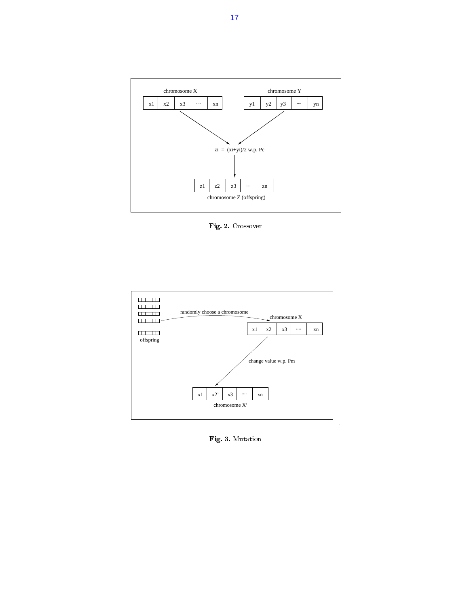

Fig. 2. Crossover



Fig. 3. Mutation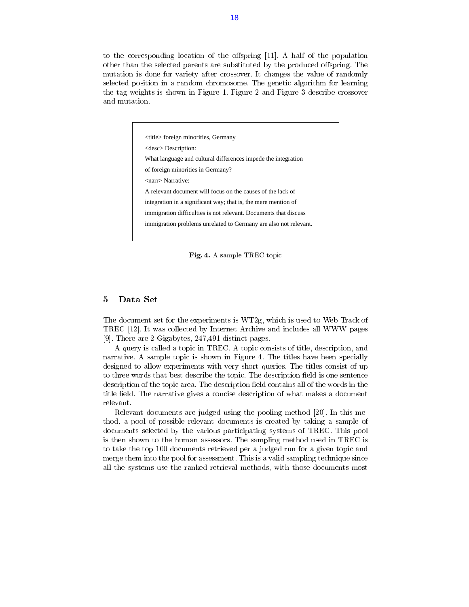to the corresponding location of the offspring  $[11]$ . A half of the population other than the selected parents are substituted by the produced offspring. The mutation is done for variety after crossover. It changes the value of randomly selected position in a random chromosome. The genetic algorithm for learning the tag weights is shown in Figure 1. Figure 2 and Figure 3 describe crossover

> <title> foreign minorities, Germany What language and cultural differences impede the integration of foreign minorities in Germany? <narr> Narrative: A relevant document will focus on the causes of the lack of integration in a significant way; that is, the mere mention of immigration difficulties is not relevant. Documents that discuss immigration problems unrelated to Germany are also not relevant. <desc> Description:

Fig. 4. A sample TREC topic

#### $\overline{5}$ Data Set

The document set for the experiments is WT2g, which is used to Web Track of TREC [12]. It was collected by Internet Archive and includes all WWW pages [9]. There are 2 Gigabytes, 247,491 distinct pages.

A query is called a topic in TREC. A topic consists of title, description, and narrative. A sample topic is shown in Figure 4. The titles have been specially designed to allow experiments with very short queries. The titles consist of up to three words that best describe the topic. The description field is one sentence description of the topic area. The description field contains all of the words in the title field. The narrative gives a concise description of what makes a document relevant.

Relevant documents are judged using the pooling method [20]. In this method, a pool of possible relevant documents is created by taking a sample of documents selected by the various participating systems of TREC. This pool is then shown to the human assessors. The sampling method used in TREC is to take the top 100 documents retrieved per a judged run for a given topic and merge them into the pool for assessment. This is a valid sampling technique since all the systems use the ranked retrieval methods, with those documents most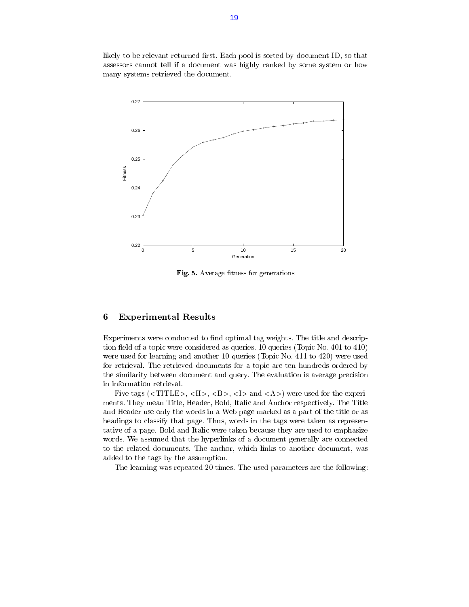likely to be relevant returned first. Each pool is sorted by document ID, so that assessors cannot tell if a document was highly ranked by some system or how many systems retrieved the document.



Fig. 5. Average fitness for generations

### 6 Experimental Results

Experiments were conducted to find optimal tag weights. The title and description field of a topic were considered as queries. 10 queries (Topic No.  $401$  to  $410$ ) were used for learning and another 10 queries (Topic No. 411 to 420) were used for retrieval. The retrieved documents for a topic are ten hundreds ordered by the similarity between document and query. The evaluation is average precision in information retrieval.

Five tags  $(,  $<$ H $>$ ,  $<$ B $>$ ,  $<$ I $>$  and  $<$ A $>$ ) were used for the experi$ ments. They mean Title, Header, Bold, Italic and Anchor respectively. The Title and Header use only the words in a Web page marked as a part of the title or as headings to classify that page. Thus, words in the tags were taken as representative of a page. Bold and Italic were taken because they are used to emphasize words. We assumed that the hyperlinks of a document generally are connected to the related documents. The anchor, which links to another document, was added to the tags by the assumption.

The learning was repeated 20 times. The used parameters are the following: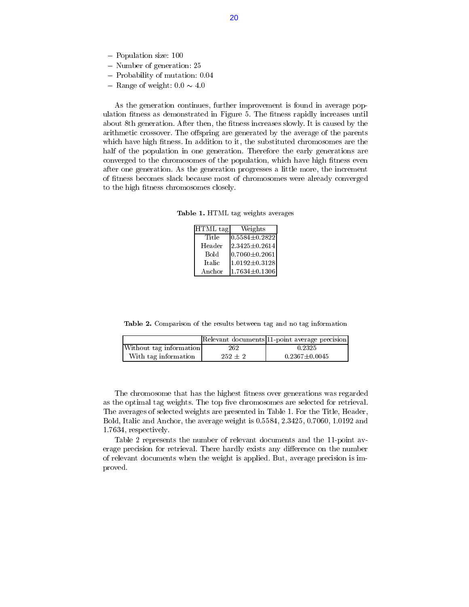- ${\bf r}$  opulation size: 100
- $\ldots$   $\ldots$   $\ldots$   $\ldots$   $\ldots$   $\ldots$
- { Probability of mutation: 0.04
- ${\bf r}$  range of weight: 0.0  ${\bf r}$  1.0

As the generation continues, further improvement is found in average population fitness as demonstrated in Figure 5. The fitness rapidly increases until about 8th generation. After then, the fitness increases slowly. It is caused by the arithmetic crossover. The offspring are generated by the average of the parents which have high fitness. In addition to it, the substituted chromosomes are the half of the population in one generation. Therefore the early generations are converged to the chromosomes of the population, which have high fitness even after one generation. As the generation progresses a little more, the increment of tness becomes slack because most of chromosomes were already converged to the high fitness chromosomes closely.

Table 1. HTML tag weights averages

| HTML tag      | Weights                 |  |
|---------------|-------------------------|--|
| Title         | $[0.5584 {\pm} 0.2822]$ |  |
| Header        | $2.3425 \pm 0.2614$     |  |
| Bold          | $[0.7060 {\pm} 0.2061]$ |  |
| <b>Italic</b> | $1.0192 \pm 0.3128$     |  |
| Anchor        | $1.7634 \pm 0.1306$     |  |

Table 2. Comparison of the results between tag and no tag information

|                         |             | Relevant documents 11 point average precision |
|-------------------------|-------------|-----------------------------------------------|
| Without tag information | 262         | 0.2325                                        |
| With tag information    | $252 \pm 2$ | $0.2367 \pm 0.0045$                           |

The chromosome that has the highest fitness over generations was regarded as the optimal tag weights. The top five chromosomes are selected for retrieval. The averages of selected weights are presented in Table 1. For the Title, Header, Bold, Italic and Anchor, the average weight is 0.5584, 2.3425, 0.7060, 1.0192 and 1.7634, respectively.

Table 2 represents the number of relevant documents and the 11-point av erage precision for retrieval. There hardly exists any difference on the number of relevant documents when the weight is applied. But, average precision is improved.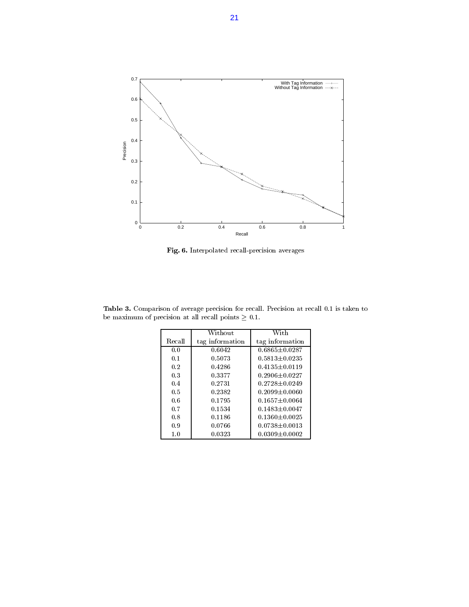

Fig. 6. Interpolated recall-precision averages

Table 3. Comparison of average precision for recall. Precision at recall 0.1 is taken to be maximum of precision at all recall points  $\geq$  0.1.

|        | Without.        | With                |
|--------|-----------------|---------------------|
| Recall | tag information | tag information     |
| 0.0    | 0.6042          | $0.6865 \pm 0.0287$ |
| 0.1    | 0.5073          | $0.5813 \pm 0.0235$ |
| 0.2    | 0.4286          | $0.4135 \pm 0.0119$ |
| 0.3    | 0.3377          | $0.2906 + 0.0227$   |
| 0.4    | 0.2731          | $0.2728 + 0.0249$   |
| 0.5    | 0.2382          | $0.2099 + 0.0060$   |
| 0.6    | 0.1795          | $0.1657 \pm 0.0064$ |
| 0.7    | 0.1534          | $0.1483 \pm 0.0047$ |
| 0.8    | 0.1186          | $0.1360 \pm 0.0025$ |
| 0.9    | 0.0766          | $0.0738 \pm 0.0013$ |
| 1.0    | 0.0323          | $0.0309 \pm 0.0002$ |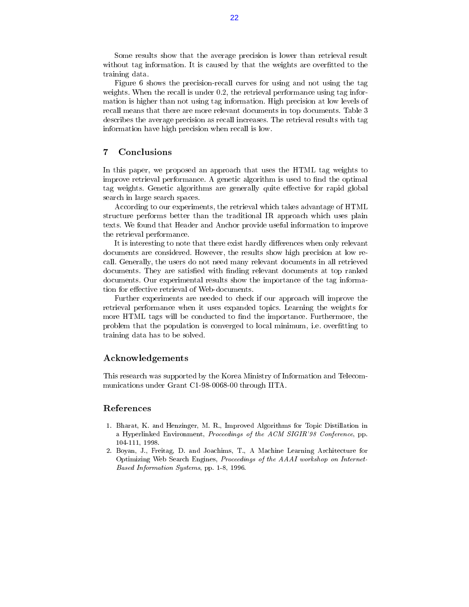Some results show that the average precision is lower than retrieval result without tag information. It is caused by that the weights are overfitted to the training data.

Figure 6 shows the precision-recall curves for using and not using the tag weights. When the recall is under 0.2, the retrieval performance using tag information is higher than not using tag information. High precision at low levels of recall means that there are more relevant documents in top documents. Table 3 describes the average precision as recall increases. The retrieval results with tag information have high precision when recall is low.

### $\overline{7}$

In this paper, we proposed an approach that uses the HTML tag weights to improve retrieval performance. A genetic algorithm is used to find the optimal tag weights. Genetic algorithms are generally quite effective for rapid global search in large search spaces.

According to our experiments, the retrieval which takes advantage of HTML structure performs better than the traditional IR approach which uses plain texts. We found that Header and Anchor provide useful information to improve the retrieval performance.

It is interesting to note that there exist hardly differences when only relevant documents are considered. However, the results show high precision at low recall. Generally, the users do not need many relevant documents in all retrieved documents. They are satisfied with finding relevant documents at top ranked documents. Our experimental results show the importance of the tag information for effective retrieval of Web-documents.

Further experiments are needed to check if our approach will improve the retrieval performance when it uses expanded topics. Learning the weights for more HTML tags will be conducted to find the importance. Furthermore, the problem that the population is converged to local minimum, i.e. overfitting to training data has to be solved.

### Acknowledgements

This research was supported by the Korea Ministry of Information and Telecom munications under Grant C1-98-0068-00 through IITA.

- 1. Bharat, K. and Henzinger, M. R., Improved Algorithms for Topic Distillation in a Hyperlinked Environment, Proceedings of the ACM SIGIR'98 Conference, pp. 104-111, 1998.
- 2. Boyan, J., Freitag, D. and Joachims, T., A Machine Learning Architecture for Optimizing Web Search Engines, Proceedings of the AAAI workshop on Internet-Based Information Systems, pp. 1-8, 1996.